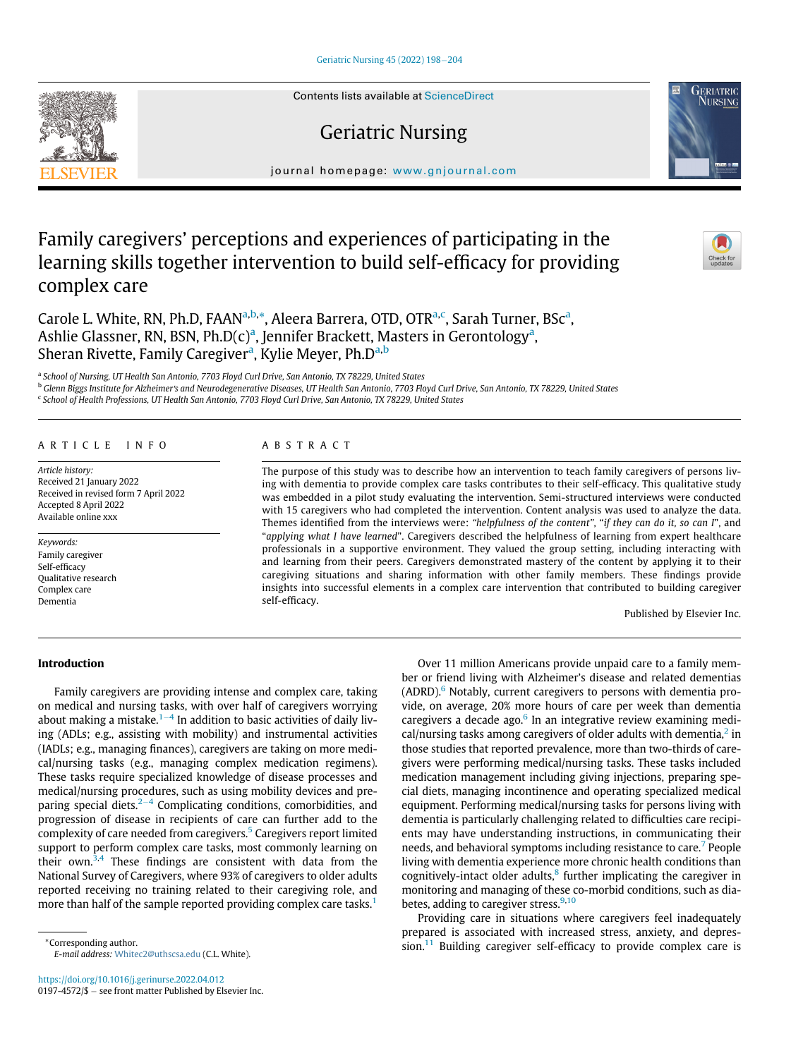## [Geriatric Nursing 45 \(2022\) 198](https://doi.org/10.1016/j.gerinurse.2022.04.012)-[204](https://doi.org/10.1016/j.gerinurse.2022.04.012)

# Geriatric Nursing

journal homepage: [www.gnjournal.com](http://www.gnjournal.com)

## Family caregivers' perceptions and experiences of participating in the learning skills together intervention to build self-efficacy for providing complex care

Carole L. White, RN, Ph.D, FAAN<sup>a[,b,](#page-0-1)</sup>[\\*,](#page-0-2) Aleer[a](#page-0-0) Barrera, OTD, OTR<sup>a,[c](#page-0-3)</sup>, Sarah Turner, BSc<sup>a</sup>, Ashlie Gl[a](#page-0-0)ssner, RN, BSN, Ph.D(c)<sup>a</sup>, Jennifer Brackett, Masters in Gerontology<sup>a</sup>, Sher[a](#page-0-0)n Rivette, Family Caregiver<sup>a</sup>, Kylie Meyer, Ph.D<sup>a[,b](#page-0-1)</sup>

<span id="page-0-0"></span>a School of Nursing, UT Health San Antonio, 7703 Floyd Curl Drive, San Antonio, TX 78229, United States

<span id="page-0-1"></span><sup>b</sup> Glenn Biggs Institute for Alzheimer's and Neurodegenerative Diseases, UT Health San Antonio, 7703 Floyd Curl Drive, San Antonio, TX 78229, United States

<span id="page-0-3"></span><sup>c</sup> School of Health Professions, UT Health San Antonio, 7703 Floyd Curl Drive, San Antonio, TX 78229, United States

#### ARTICLE INFO

Article history: Received 21 January 2022 Received in revised form 7 April 2022 Accepted 8 April 2022 Available online xxx

Keywords: Family caregiver Self-efficacy Qualitative research Complex care Dementia

## ABSTRACT

The purpose of this study was to describe how an intervention to teach family caregivers of persons living with dementia to provide complex care tasks contributes to their self-efficacy. This qualitative study was embedded in a pilot study evaluating the intervention. Semi-structured interviews were conducted with 15 caregivers who had completed the intervention. Content analysis was used to analyze the data. Themes identified from the interviews were: "helpfulness of the content", "if they can do it, so can I", and "applying what I have learned". Caregivers described the helpfulness of learning from expert healthcare professionals in a supportive environment. They valued the group setting, including interacting with and learning from their peers. Caregivers demonstrated mastery of the content by applying it to their caregiving situations and sharing information with other family members. These findings provide insights into successful elements in a complex care intervention that contributed to building caregiver self-efficacy.

Published by Elsevier Inc.

## Introduction

Family caregivers are providing intense and complex care, taking on medical and nursing tasks, with over half of caregivers worrying about making a mistake.<sup>[1](#page-5-0)-[4](#page-5-0)</sup> In addition to basic activities of daily living (ADLs; e.g., assisting with mobility) and instrumental activities (IADLs; e.g., managing finances), caregivers are taking on more medical/nursing tasks (e.g., managing complex medication regimens). These tasks require specialized knowledge of disease processes and medical/nursing procedures, such as using mobility devices and preparing special diets. $2-4$  $2-4$  $2-4$  Complicating conditions, comorbidities, and progression of disease in recipients of care can further add to the complexity of care needed from caregivers.<sup>[5](#page-5-2)</sup> Caregivers report limited support to perform complex care tasks, most commonly learning on their own. $3,4$  $3,4$  These findings are consistent with data from the National Survey of Caregivers, where 93% of caregivers to older adults reported receiving no training related to their caregiving role, and more than half of the sample reported providing complex care tasks.<sup>[1](#page-5-0)</sup>

ber or friend living with Alzheimer's disease and related dementias  $(ADRD)$ .<sup>6</sup> Notably, current caregivers to persons with dementia provide, on average, 20% more hours of care per week than dementia caregivers a decade ago. $6$  In an integrative review examining medical/nursing tasks among caregivers of older adults with dementia, $2$  in those studies that reported prevalence, more than two-thirds of caregivers were performing medical/nursing tasks. These tasks included medication management including giving injections, preparing special diets, managing incontinence and operating specialized medical equipment. Performing medical/nursing tasks for persons living with dementia is particularly challenging related to difficulties care recipients may have understanding instructions, in communicating their needs, and behavioral symptoms including resistance to care.<sup>[7](#page-5-6)</sup> People living with dementia experience more chronic health conditions than cognitively-intact older adults, $8$  further implicating the caregiver in monitoring and managing of these co-morbid conditions, such as diabetes, adding to caregiver stress. $9,10$  $9,10$ 

Over 11 million Americans provide unpaid care to a family mem-

<span id="page-0-2"></span>Providing care in situations where caregivers feel inadequately prepared is associated with increased stress, anxiety, and depres-\*Corresponding author.<br>
Sion.<sup>11</sup> Building caregiver self-efficacy to provide complex care is





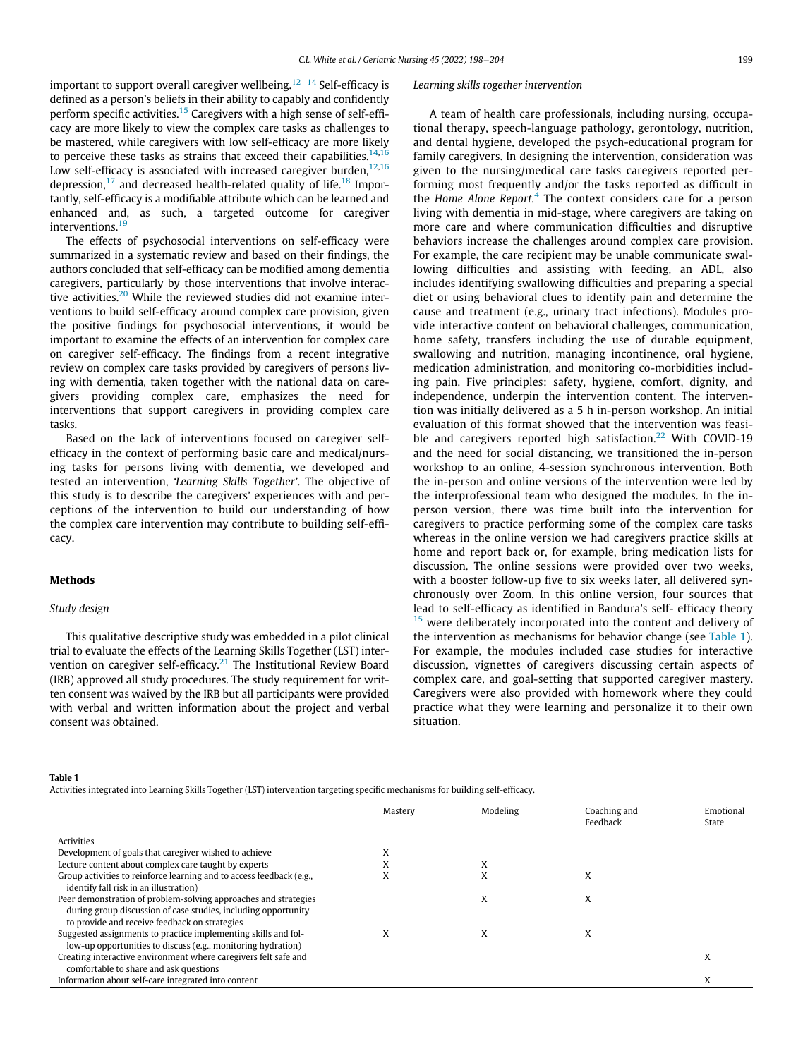important to support overall caregiver wellbeing.<sup>[12](#page-6-2)-[14](#page-6-2)</sup> Self-efficacy is defined as a person's beliefs in their ability to capably and confidently perform specific activities.<sup>[15](#page-6-3)</sup> Caregivers with a high sense of self-efficacy are more likely to view the complex care tasks as challenges to be mastered, while caregivers with low self-efficacy are more likely to perceive these tasks as strains that exceed their capabilities.<sup>[14,](#page-6-4)1</sup> Low self-efficacy is associated with increased caregiver burden, $12,16$  $12,16$ depression, $^{17}$  $^{17}$  $^{17}$  and decreased health-related quality of life.<sup>[18](#page-6-7)</sup> Importantly, self-efficacy is a modifiable attribute which can be learned and enhanced and, as such, a targeted outcome for caregiver interventions.<sup>[19](#page-6-8)</sup>

The effects of psychosocial interventions on self-efficacy were summarized in a systematic review and based on their findings, the authors concluded that self-efficacy can be modified among dementia caregivers, particularly by those interventions that involve interac-tive activities.<sup>[20](#page-6-9)</sup> While the reviewed studies did not examine interventions to build self-efficacy around complex care provision, given the positive findings for psychosocial interventions, it would be important to examine the effects of an intervention for complex care on caregiver self-efficacy. The findings from a recent integrative review on complex care tasks provided by caregivers of persons living with dementia, taken together with the national data on caregivers providing complex care, emphasizes the need for interventions that support caregivers in providing complex care tasks.

Based on the lack of interventions focused on caregiver selfefficacy in the context of performing basic care and medical/nursing tasks for persons living with dementia, we developed and tested an intervention, 'Learning Skills Together'. The objective of this study is to describe the caregivers' experiences with and perceptions of the intervention to build our understanding of how the complex care intervention may contribute to building self-efficacy.

#### Methods

#### Study design

This qualitative descriptive study was embedded in a pilot clinical trial to evaluate the effects of the Learning Skills Together (LST) inter-vention on caregiver self-efficacy.<sup>[21](#page-6-10)</sup> The Institutional Review Board (IRB) approved all study procedures. The study requirement for written consent was waived by the IRB but all participants were provided with verbal and written information about the project and verbal consent was obtained.

#### Learning skills together intervention

A team of health care professionals, including nursing, occupational therapy, speech-language pathology, gerontology, nutrition, and dental hygiene, developed the psych-educational program for family caregivers. In designing the intervention, consideration was given to the nursing/medical care tasks caregivers reported performing most frequently and/or the tasks reported as difficult in the Home Alone Report.<sup>[4](#page-5-4)</sup> The context considers care for a person living with dementia in mid-stage, where caregivers are taking on more care and where communication difficulties and disruptive behaviors increase the challenges around complex care provision. For example, the care recipient may be unable communicate swallowing difficulties and assisting with feeding, an ADL, also includes identifying swallowing difficulties and preparing a special diet or using behavioral clues to identify pain and determine the cause and treatment (e.g., urinary tract infections). Modules provide interactive content on behavioral challenges, communication, home safety, transfers including the use of durable equipment, swallowing and nutrition, managing incontinence, oral hygiene, medication administration, and monitoring co-morbidities including pain. Five principles: safety, hygiene, comfort, dignity, and independence, underpin the intervention content. The intervention was initially delivered as a 5 h in-person workshop. An initial evaluation of this format showed that the intervention was feasi-ble and caregivers reported high satisfaction.<sup>[22](#page-6-11)</sup> With COVID-19 and the need for social distancing, we transitioned the in-person workshop to an online, 4-session synchronous intervention. Both the in-person and online versions of the intervention were led by the interprofessional team who designed the modules. In the inperson version, there was time built into the intervention for caregivers to practice performing some of the complex care tasks whereas in the online version we had caregivers practice skills at home and report back or, for example, bring medication lists for discussion. The online sessions were provided over two weeks, with a booster follow-up five to six weeks later, all delivered synchronously over Zoom. In this online version, four sources that lead to self-efficacy as identified in Bandura's self- efficacy theory  $15$  were deliberately incorporated into the content and delivery of the intervention as mechanisms for behavior change (see [Table 1](#page-1-0)). For example, the modules included case studies for interactive discussion, vignettes of caregivers discussing certain aspects of complex care, and goal-setting that supported caregiver mastery. Caregivers were also provided with homework where they could practice what they were learning and personalize it to their own situation.

#### <span id="page-1-0"></span>Table 1

Activities integrated into Learning Skills Together (LST) intervention targeting specific mechanisms for building self-efficacy.

|                                                                                                                                                                                    | Mastery   | Modeling | Coaching and<br>Feedback | Emotional<br>State |
|------------------------------------------------------------------------------------------------------------------------------------------------------------------------------------|-----------|----------|--------------------------|--------------------|
| Activities                                                                                                                                                                         |           |          |                          |                    |
| Development of goals that caregiver wished to achieve                                                                                                                              |           |          |                          |                    |
| Lecture content about complex care taught by experts                                                                                                                               |           | X        |                          |                    |
| Group activities to reinforce learning and to access feedback (e.g.,<br>identify fall risk in an illustration)                                                                     | $\lambda$ | X        | x                        |                    |
| Peer demonstration of problem-solving approaches and strategies<br>during group discussion of case studies, including opportunity<br>to provide and receive feedback on strategies |           | x        | x                        |                    |
| Suggested assignments to practice implementing skills and fol-<br>low-up opportunities to discuss (e.g., monitoring hydration)                                                     | x         | X        | X                        |                    |
| Creating interactive environment where caregivers felt safe and<br>comfortable to share and ask questions                                                                          |           |          |                          | X                  |
| Information about self-care integrated into content                                                                                                                                |           |          |                          | X                  |
|                                                                                                                                                                                    |           |          |                          |                    |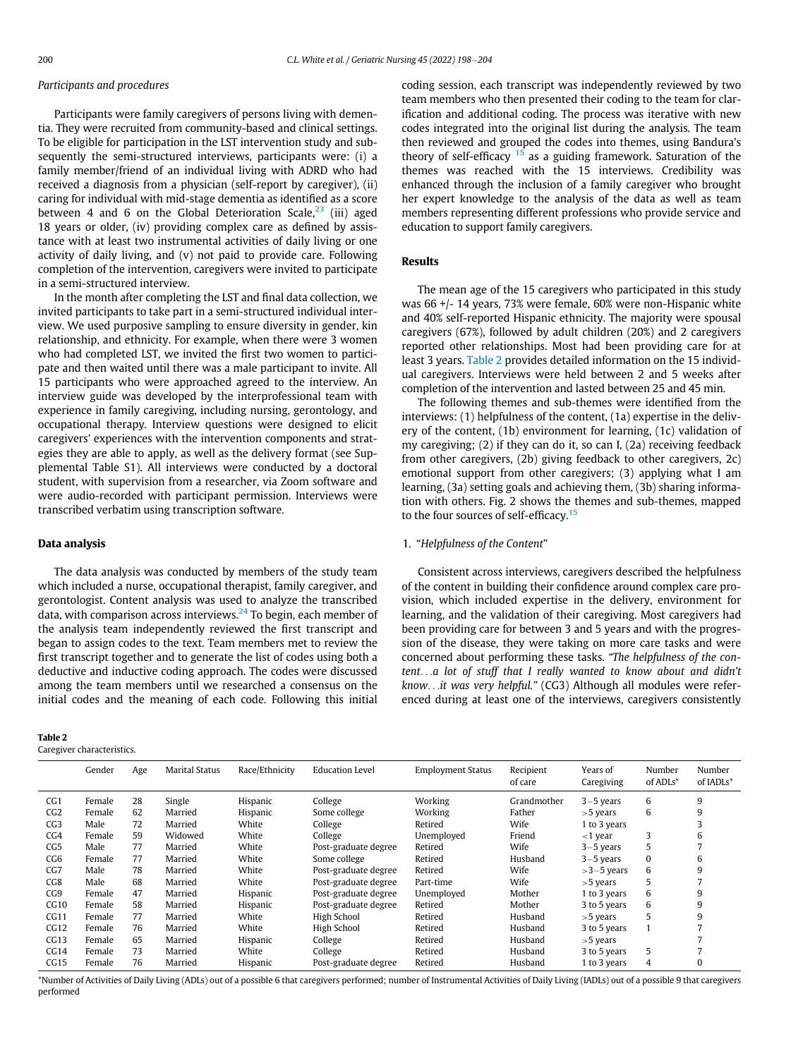## Participants and procedures

Participants were family caregivers of persons living with dementia. They were recruited from community-based and clinical settings. To be eligible for participation in the LST intervention study and subsequently the semi-structured interviews, participants were: (i) a family member/friend of an individual living with ADRD who had received a diagnosis from a physician (self-report by caregiver), (ii) caring for individual with mid-stage dementia as identified as a score between 4 and 6 on the Global Deterioration Scale, $^{23}$  $^{23}$  $^{23}$  (iii) aged 18 years or older, (iv) providing complex care as defined by assistance with at least two instrumental activities of daily living or one activity of daily living, and (v) not paid to provide care. Following completion of the intervention, caregivers were invited to participate in a semi-structured interview.

In the month after completing the LST and final data collection, we invited participants to take part in a semi-structured individual interview. We used purposive sampling to ensure diversity in gender, kin relationship, and ethnicity. For example, when there were 3 women who had completed LST, we invited the first two women to participate and then waited until there was a male participant to invite. All 15 participants who were approached agreed to the interview. An interview guide was developed by the interprofessional team with experience in family caregiving, including nursing, gerontology, and occupational therapy. Interview questions were designed to elicit caregivers' experiences with the intervention components and strategies they are able to apply, as well as the delivery format (see Supplemental Table S1). All interviews were conducted by a doctoral student, with supervision from a researcher, via Zoom software and were audio-recorded with participant permission. Interviews were transcribed verbatim using transcription software.

## Data analysis

The data analysis was conducted by members of the study team which included a nurse, occupational therapist, family caregiver, and gerontologist. Content analysis was used to analyze the transcribed data, with comparison across interviews. $^{24}$  $^{24}$  $^{24}$  To begin, each member of the analysis team independently reviewed the first transcript and began to assign codes to the text. Team members met to review the first transcript together and to generate the list of codes using both a deductive and inductive coding approach. The codes were discussed among the team members until we researched a consensus on the initial codes and the meaning of each code. Following this initial

## <span id="page-2-0"></span>Table 2

Caregiver characteristics.

coding session, each transcript was independently reviewed by two team members who then presented their coding to the team for clarification and additional coding. The process was iterative with new codes integrated into the original list during the analysis. The team then reviewed and grouped the codes into themes, using Bandura's theory of self-efficacy  $15$  as a guiding framework. Saturation of the themes was reached with the 15 interviews. Credibility was enhanced through the inclusion of a family caregiver who brought her expert knowledge to the analysis of the data as well as team members representing different professions who provide service and education to support family caregivers.

## Results

The mean age of the 15 caregivers who participated in this study was 66 +/- 14 years, 73% were female, 60% were non-Hispanic white and 40% self-reported Hispanic ethnicity. The majority were spousal caregivers (67%), followed by adult children (20%) and 2 caregivers reported other relationships. Most had been providing care for at least 3 years. [Table 2](#page-2-0) provides detailed information on the 15 individual caregivers. Interviews were held between 2 and 5 weeks after completion of the intervention and lasted between 25 and 45 min.

The following themes and sub-themes were identified from the interviews: (1) helpfulness of the content, (1a) expertise in the delivery of the content, (1b) environment for learning, (1c) validation of my caregiving; (2) if they can do it, so can I, (2a) receiving feedback from other caregivers, (2b) giving feedback to other caregivers, 2c) emotional support from other caregivers; (3) applying what I am learning, (3a) setting goals and achieving them, (3b) sharing information with others. Fig. 2 shows the themes and sub-themes, mapped to the four sources of self-efficacy.<sup>[15](#page-6-3)</sup>

## 1. "Helpfulness of the Content"

Consistent across interviews, caregivers described the helpfulness of the content in building their confidence around complex care provision, which included expertise in the delivery, environment for learning, and the validation of their caregiving. Most caregivers had been providing care for between 3 and 5 years and with the progression of the disease, they were taking on more care tasks and were concerned about performing these tasks. "The helpfulness of the content...a lot of stuff that I really wanted to know about and didn't know...it was very helpful." (CG3) Although all modules were referenced during at least one of the interviews, caregivers consistently

|                 | Gender | Age | <b>Marital Status</b> | Race/Ethnicity | <b>Education Level</b> | <b>Employment Status</b> | Recipient<br>of care | Years of<br>Caregiving | Number<br>of ADLs* | Number<br>of IADLs* |
|-----------------|--------|-----|-----------------------|----------------|------------------------|--------------------------|----------------------|------------------------|--------------------|---------------------|
| CG1             | Female | 28  | Single                | Hispanic       | College                | Working                  | Grandmother          | $3-5$ years            | 6                  | 9                   |
| CG2             | Female | 62  | Married               | Hispanic       | Some college           | Working                  | Father               | $>5$ years             | 6                  | 9                   |
| CG3             | Male   | 72  | Married               | White          | College                | Retired                  | Wife                 | 1 to 3 years           |                    | 3                   |
| CG4             | Female | 59  | Widowed               | White          | College                | Unemployed               | Friend               | $<$ 1 year             | 3                  | 6                   |
| CG <sub>5</sub> | Male   | 77  | Married               | White          | Post-graduate degree   | Retired                  | Wife                 | $3-5$ years            | $\mathcal{D}$      |                     |
| CG <sub>6</sub> | Female | 77  | Married               | White          | Some college           | Retired                  | Husband              | $3-5$ years            |                    | 6                   |
| CG7             | Male   | 78  | Married               | White          | Post-graduate degree   | Retired                  | Wife                 | $>3-5$ years           | 6                  | 9                   |
| CG8             | Male   | 68  | Married               | White          | Post-graduate degree   | Part-time                | Wife                 | $>5$ years             | C                  |                     |
| CG <sub>9</sub> | Female | 47  | Married               | Hispanic       | Post-graduate degree   | Unemployed               | Mother               | 1 to 3 years           | 6                  | 9                   |
| CG10            | Female | 58  | Married               | Hispanic       | Post-graduate degree   | Retired                  | Mother               | 3 to 5 years           | 6                  | 9                   |
| CG11            | Female | 77  | Married               | White          | High School            | Retired                  | Husband              | $>5$ years             | C.                 | 9                   |
| CG12            | Female | 76  | Married               | White          | High School            | Retired                  | Husband              | 3 to 5 years           |                    |                     |
| CG13            | Female | 65  | Married               | Hispanic       | College                | Retired                  | Husband              | $>5$ years             |                    |                     |
| CG14            | Female | 73  | Married               | White          | College                | Retired                  | Husband              | 3 to 5 years           | 5                  |                     |
| CG15            | Female | 76  | Married               | Hispanic       | Post-graduate degree   | Retired                  | Husband              | 1 to 3 years           | 4                  | $\Omega$            |

\*Number of Activities of Daily Living (ADLs) out of a possible 6 that caregivers performed; number of Instrumental Activities of Daily Living (IADLs) out of a possible 9 that caregivers performed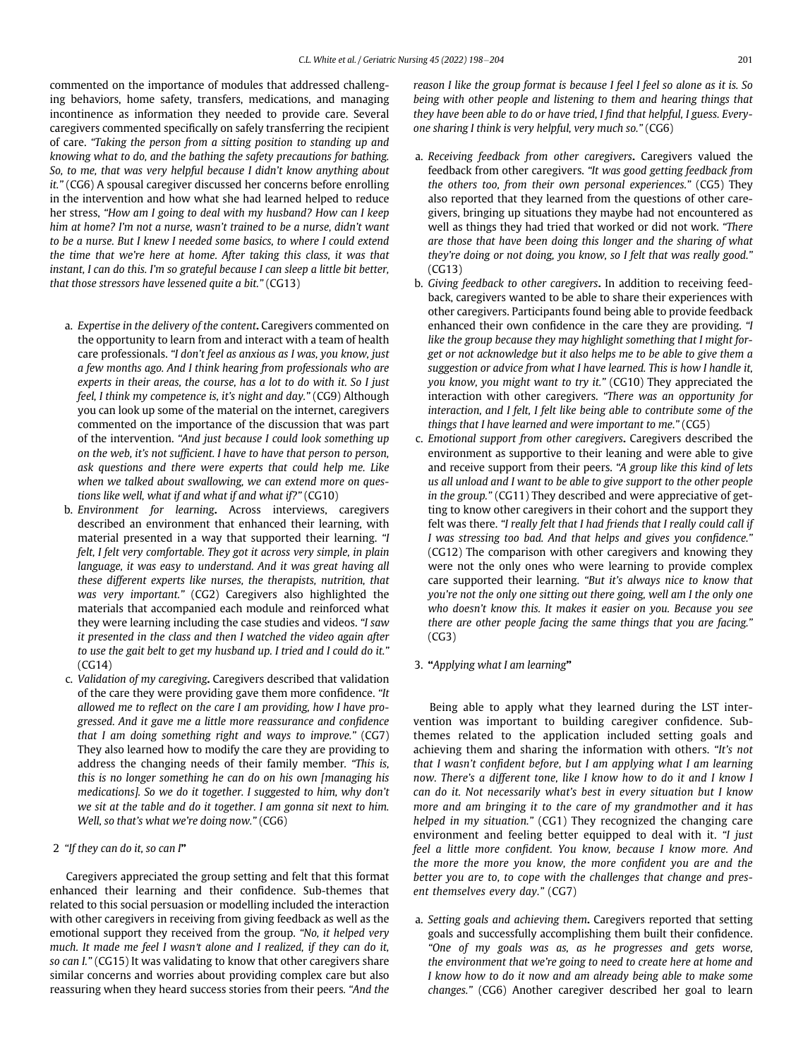commented on the importance of modules that addressed challenging behaviors, home safety, transfers, medications, and managing incontinence as information they needed to provide care. Several caregivers commented specifically on safely transferring the recipient of care. "Taking the person from a sitting position to standing up and knowing what to do, and the bathing the safety precautions for bathing. So, to me, that was very helpful because I didn't know anything about it." (CG6) A spousal caregiver discussed her concerns before enrolling in the intervention and how what she had learned helped to reduce her stress, "How am I going to deal with my husband? How can I keep him at home? I'm not a nurse, wasn't trained to be a nurse, didn't want to be a nurse. But I knew I needed some basics, to where I could extend the time that we're here at home. After taking this class, it was that instant, I can do this. I'm so grateful because I can sleep a little bit better, that those stressors have lessened quite a bit." (CG13)

- a. Expertise in the delivery of the content. Caregivers commented on the opportunity to learn from and interact with a team of health care professionals. "I don't feel as anxious as I was, you know, just a few months ago. And I think hearing from professionals who are experts in their areas, the course, has a lot to do with it. So I just feel, I think my competence is, it's night and day." (CG9) Although you can look up some of the material on the internet, caregivers commented on the importance of the discussion that was part of the intervention. "And just because I could look something up on the web, it's not sufficient. I have to have that person to person, ask questions and there were experts that could help me. Like when we talked about swallowing, we can extend more on questions like well, what if and what if and what if?" (CG10)
- b. Environment for learning. Across interviews, caregivers described an environment that enhanced their learning, with material presented in a way that supported their learning. "I felt, I felt very comfortable. They got it across very simple, in plain language, it was easy to understand. And it was great having all these different experts like nurses, the therapists, nutrition, that was very important." (CG2) Caregivers also highlighted the materials that accompanied each module and reinforced what they were learning including the case studies and videos. "I saw it presented in the class and then I watched the video again after to use the gait belt to get my husband up. I tried and I could do it." (CG14)
- c. Validation of my caregiving. Caregivers described that validation of the care they were providing gave them more confidence. "It allowed me to reflect on the care I am providing, how I have progressed. And it gave me a little more reassurance and confidence that I am doing something right and ways to improve." (CG7) They also learned how to modify the care they are providing to address the changing needs of their family member. "This is, this is no longer something he can do on his own [managing his medications]. So we do it together. I suggested to him, why don't we sit at the table and do it together. I am gonna sit next to him. Well, so that's what we're doing now." (CG6)
- 2 "If they can do it, so can I"

Caregivers appreciated the group setting and felt that this format enhanced their learning and their confidence. Sub-themes that related to this social persuasion or modelling included the interaction with other caregivers in receiving from giving feedback as well as the emotional support they received from the group. "No, it helped very much. It made me feel I wasn't alone and I realized, if they can do it, so can I." (CG15) It was validating to know that other caregivers share similar concerns and worries about providing complex care but also reassuring when they heard success stories from their peers. "And the reason I like the group format is because I feel I feel so alone as it is. So being with other people and listening to them and hearing things that they have been able to do or have tried, I find that helpful, I guess. Everyone sharing I think is very helpful, very much so." (CG6)

- a. Receiving feedback from other caregivers. Caregivers valued the feedback from other caregivers. "It was good getting feedback from the others too, from their own personal experiences." (CG5) They also reported that they learned from the questions of other caregivers, bringing up situations they maybe had not encountered as well as things they had tried that worked or did not work. "There are those that have been doing this longer and the sharing of what they're doing or not doing, you know, so I felt that was really good." (CG13)
- b. Giving feedback to other caregivers. In addition to receiving feedback, caregivers wanted to be able to share their experiences with other caregivers. Participants found being able to provide feedback enhanced their own confidence in the care they are providing. "I like the group because they may highlight something that I might forget or not acknowledge but it also helps me to be able to give them a suggestion or advice from what I have learned. This is how I handle it, you know, you might want to try it." (CG10) They appreciated the interaction with other caregivers. "There was an opportunity for interaction, and I felt, I felt like being able to contribute some of the things that I have learned and were important to me." (CG5)
- c. Emotional support from other caregivers. Caregivers described the environment as supportive to their leaning and were able to give and receive support from their peers. "A group like this kind of lets us all unload and I want to be able to give support to the other people in the group." (CG11) They described and were appreciative of getting to know other caregivers in their cohort and the support they felt was there. "I really felt that I had friends that I really could call if I was stressing too bad. And that helps and gives you confidence." (CG12) The comparison with other caregivers and knowing they were not the only ones who were learning to provide complex care supported their learning. "But it's always nice to know that you're not the only one sitting out there going, well am I the only one who doesn't know this. It makes it easier on you. Because you see there are other people facing the same things that you are facing."  $(CG3)$
- 3. "Applying what I am learning"

Being able to apply what they learned during the LST intervention was important to building caregiver confidence. Subthemes related to the application included setting goals and achieving them and sharing the information with others. "It's not that I wasn't confident before, but I am applying what I am learning now. There's a different tone, like I know how to do it and I know I can do it. Not necessarily what's best in every situation but I know more and am bringing it to the care of my grandmother and it has helped in my situation." (CG1) They recognized the changing care environment and feeling better equipped to deal with it. "I just feel a little more confident. You know, because I know more. And the more the more you know, the more confident you are and the better you are to, to cope with the challenges that change and present themselves every day." (CG7)

a. Setting goals and achieving them. Caregivers reported that setting goals and successfully accomplishing them built their confidence. "One of my goals was as, as he progresses and gets worse, the environment that we're going to need to create here at home and I know how to do it now and am already being able to make some changes." (CG6) Another caregiver described her goal to learn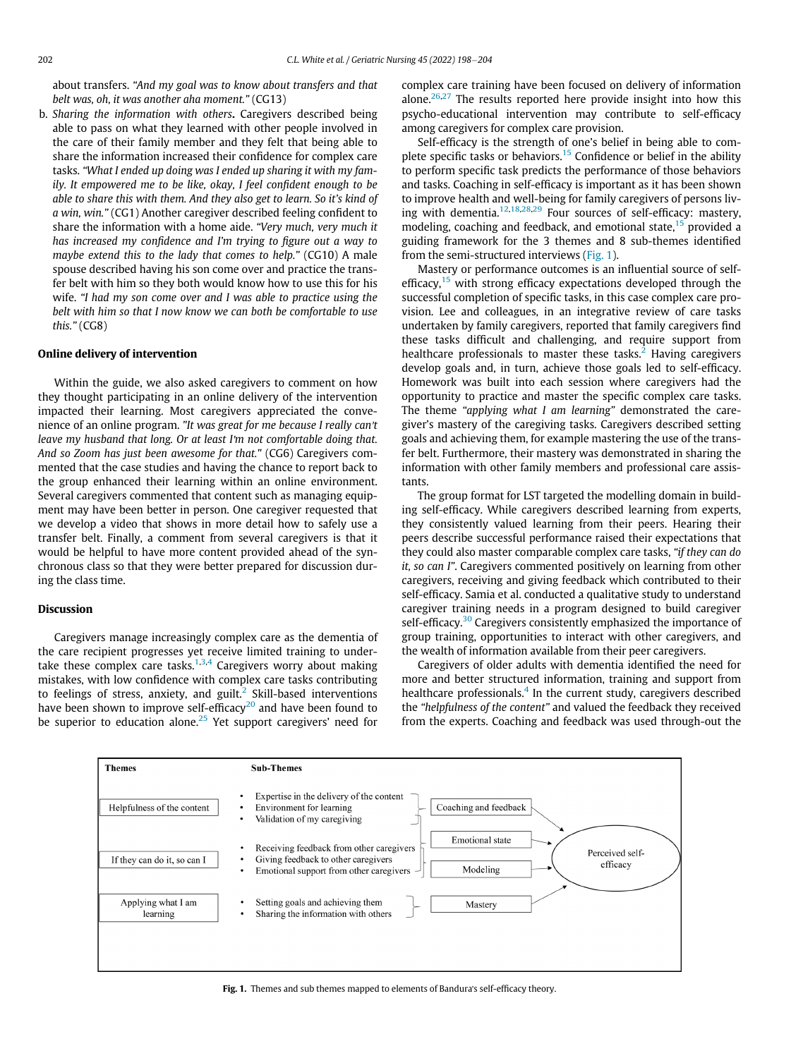about transfers. "And my goal was to know about transfers and that belt was, oh, it was another aha moment." (CG13)

b. Sharing the information with others. Caregivers described being able to pass on what they learned with other people involved in the care of their family member and they felt that being able to share the information increased their confidence for complex care tasks. "What I ended up doing was I ended up sharing it with my family. It empowered me to be like, okay, I feel confident enough to be able to share this with them. And they also get to learn. So it's kind of a win, win." (CG1) Another caregiver described feeling confident to share the information with a home aide. "Very much, very much it has increased my confidence and I'm trying to figure out a way to maybe extend this to the lady that comes to help." (CG10) A male spouse described having his son come over and practice the transfer belt with him so they both would know how to use this for his wife. "I had my son come over and I was able to practice using the belt with him so that I now know we can both be comfortable to use this." (CG8)

#### Online delivery of intervention

Within the guide, we also asked caregivers to comment on how they thought participating in an online delivery of the intervention impacted their learning. Most caregivers appreciated the convenience of an online program. "It was great for me because I really can't leave my husband that long. Or at least I'm not comfortable doing that. And so Zoom has just been awesome for that." (CG6) Caregivers commented that the case studies and having the chance to report back to the group enhanced their learning within an online environment. Several caregivers commented that content such as managing equipment may have been better in person. One caregiver requested that we develop a video that shows in more detail how to safely use a transfer belt. Finally, a comment from several caregivers is that it would be helpful to have more content provided ahead of the synchronous class so that they were better prepared for discussion during the class time.

## Discussion

Caregivers manage increasingly complex care as the dementia of the care recipient progresses yet receive limited training to under-take these complex care tasks.<sup>[1](#page-5-0),[3](#page-5-3)[,4](#page-5-4)</sup> Caregivers worry about making mistakes, with low confidence with complex care tasks contributing to feelings of stress, anxiety, and guilt.<sup>[2](#page-5-1)</sup> Skill-based interventions have been shown to improve self-efficacy $20$  and have been found to be superior to education alone.<sup>[25](#page-6-14)</sup> Yet support caregivers' need for

complex care training have been focused on delivery of information alone.<sup>[26,](#page-6-15)[27](#page-6-16)</sup> The results reported here provide insight into how this psycho-educational intervention may contribute to self-efficacy among caregivers for complex care provision.

Self-efficacy is the strength of one's belief in being able to com-plete specific tasks or behaviors.<sup>[15](#page-6-3)</sup> Confidence or belief in the ability to perform specific task predicts the performance of those behaviors and tasks. Coaching in self-efficacy is important as it has been shown to improve health and well-being for family caregivers of persons liv-ing with dementia.<sup>[12](#page-6-2),[18](#page-6-7),[28,](#page-6-17)[29](#page-6-18)</sup> Four sources of self-efficacy: mastery, modeling, coaching and feedback, and emotional state,<sup>[15](#page-6-3)</sup> provided a guiding framework for the 3 themes and 8 sub-themes identified from the semi-structured interviews [\(Fig. 1](#page-4-0)).

Mastery or performance outcomes is an influential source of self-efficacy,<sup>[15](#page-6-3)</sup> with strong efficacy expectations developed through the successful completion of specific tasks, in this case complex care provision. Lee and colleagues, in an integrative review of care tasks undertaken by family caregivers, reported that family caregivers find these tasks difficult and challenging, and require support from healthcare professionals to master these tasks.<sup>[2](#page-5-1)</sup> Having caregivers develop goals and, in turn, achieve those goals led to self-efficacy. Homework was built into each session where caregivers had the opportunity to practice and master the specific complex care tasks. The theme "applying what I am learning" demonstrated the caregiver's mastery of the caregiving tasks. Caregivers described setting goals and achieving them, for example mastering the use of the transfer belt. Furthermore, their mastery was demonstrated in sharing the information with other family members and professional care assistants.

The group format for LST targeted the modelling domain in building self-efficacy. While caregivers described learning from experts, they consistently valued learning from their peers. Hearing their peers describe successful performance raised their expectations that they could also master comparable complex care tasks, "if they can do it, so can I". Caregivers commented positively on learning from other caregivers, receiving and giving feedback which contributed to their self-efficacy. Samia et al. conducted a qualitative study to understand caregiver training needs in a program designed to build caregiver self-efficacy.<sup>[30](#page-6-19)</sup> Caregivers consistently emphasized the importance of group training, opportunities to interact with other caregivers, and the wealth of information available from their peer caregivers.

Caregivers of older adults with dementia identified the need for more and better structured information, training and support from healthcare professionals.<sup>[4](#page-5-4)</sup> In the current study, caregivers described the "helpfulness of the content" and valued the feedback they received from the experts. Coaching and feedback was used through-out the

<span id="page-4-0"></span>

Fig. 1. Themes and sub themes mapped to elements of Bandura's self-efficacy theory.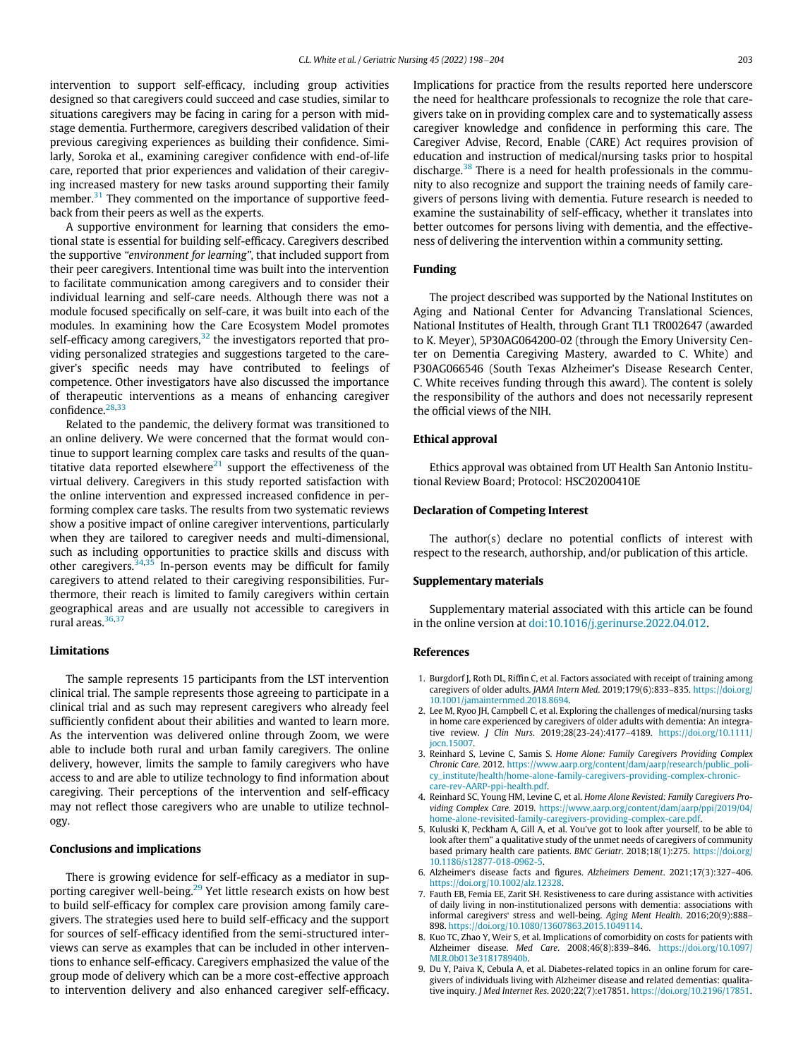intervention to support self-efficacy, including group activities designed so that caregivers could succeed and case studies, similar to situations caregivers may be facing in caring for a person with midstage dementia. Furthermore, caregivers described validation of their previous caregiving experiences as building their confidence. Similarly, Soroka et al., examining caregiver confidence with end-of-life care, reported that prior experiences and validation of their caregiving increased mastery for new tasks around supporting their family member.<sup>[31](#page-6-20)</sup> They commented on the importance of supportive feedback from their peers as well as the experts.

A supportive environment for learning that considers the emotional state is essential for building self-efficacy. Caregivers described the supportive "environment for learning", that included support from their peer caregivers. Intentional time was built into the intervention to facilitate communication among caregivers and to consider their individual learning and self-care needs. Although there was not a module focused specifically on self-care, it was built into each of the modules. In examining how the Care Ecosystem Model promotes self-efficacy among caregivers, $32$  the investigators reported that providing personalized strategies and suggestions targeted to the caregiver's specific needs may have contributed to feelings of competence. Other investigators have also discussed the importance of therapeutic interventions as a means of enhancing caregiver confidence.[28](#page-6-17)[,33](#page-6-22)

Related to the pandemic, the delivery format was transitioned to an online delivery. We were concerned that the format would continue to support learning complex care tasks and results of the quantitative data reported elsewhere $^{21}$  $^{21}$  $^{21}$  support the effectiveness of the virtual delivery. Caregivers in this study reported satisfaction with the online intervention and expressed increased confidence in performing complex care tasks. The results from two systematic reviews show a positive impact of online caregiver interventions, particularly when they are tailored to caregiver needs and multi-dimensional, such as including opportunities to practice skills and discuss with other caregivers.  $34,35$  $34,35$  $34,35$  In-person events may be difficult for family caregivers to attend related to their caregiving responsibilities. Furthermore, their reach is limited to family caregivers within certain geographical areas and are usually not accessible to caregivers in rural areas.<sup>[36](#page-6-25)[,37](#page-6-26)</sup>

#### Limitations

<span id="page-5-3"></span><span id="page-5-1"></span><span id="page-5-0"></span>The sample represents 15 participants from the LST intervention clinical trial. The sample represents those agreeing to participate in a clinical trial and as such may represent caregivers who already feel sufficiently confident about their abilities and wanted to learn more. As the intervention was delivered online through Zoom, we were able to include both rural and urban family caregivers. The online delivery, however, limits the sample to family caregivers who have access to and are able to utilize technology to find information about caregiving. Their perceptions of the intervention and self-efficacy may not reflect those caregivers who are unable to utilize technology.

#### <span id="page-5-4"></span><span id="page-5-2"></span>Conclusions and implications

<span id="page-5-8"></span><span id="page-5-7"></span><span id="page-5-6"></span><span id="page-5-5"></span>There is growing evidence for self-efficacy as a mediator in sup-porting caregiver well-being.<sup>[29](#page-6-18)</sup> Yet little research exists on how best to build self-efficacy for complex care provision among family caregivers. The strategies used here to build self-efficacy and the support for sources of self-efficacy identified from the semi-structured interviews can serve as examples that can be included in other interventions to enhance self-efficacy. Caregivers emphasized the value of the group mode of delivery which can be a more cost-effective approach to intervention delivery and also enhanced caregiver self-efficacy. Implications for practice from the results reported here underscore the need for healthcare professionals to recognize the role that caregivers take on in providing complex care and to systematically assess caregiver knowledge and confidence in performing this care. The Caregiver Advise, Record, Enable (CARE) Act requires provision of education and instruction of medical/nursing tasks prior to hospital discharge.<sup>[38](#page-6-27)</sup> There is a need for health professionals in the community to also recognize and support the training needs of family caregivers of persons living with dementia. Future research is needed to examine the sustainability of self-efficacy, whether it translates into better outcomes for persons living with dementia, and the effectiveness of delivering the intervention within a community setting.

## Funding

The project described was supported by the National Institutes on Aging and National Center for Advancing Translational Sciences, National Institutes of Health, through Grant TL1 TR002647 (awarded to K. Meyer), 5P30AG064200-02 (through the Emory University Center on Dementia Caregiving Mastery, awarded to C. White) and P30AG066546 (South Texas Alzheimer's Disease Research Center, C. White receives funding through this award). The content is solely the responsibility of the authors and does not necessarily represent the official views of the NIH.

## Ethical approval

Ethics approval was obtained from UT Health San Antonio Institutional Review Board; Protocol: HSC20200410E

#### Declaration of Competing Interest

The author(s) declare no potential conflicts of interest with respect to the research, authorship, and/or publication of this article.

#### Supplementary materials

Supplementary material associated with this article can be found in the online version at [doi:10.1016/j.gerinurse.2022.04.012.](https://doi.org/10.1016/j.gerinurse.2022.04.012)

#### References

- 1. Burgdorf J, Roth DL, Riffin C, et al. Factors associated with receipt of training among caregivers of older adults. JAMA Intern Med. 2019;179(6):833–835. [https://doi.org/](https://doi.org/10.1001/jamainternmed.2018.8694) [10.1001/jamainternmed.2018.8694.](https://doi.org/10.1001/jamainternmed.2018.8694)
- 2. Lee M, Ryoo JH, Campbell C, et al. Exploring the challenges of medical/nursing tasks in home care experienced by caregivers of older adults with dementia: An integrative review. J Clin Nurs. 2019;28(23-24):4177–4189. [https://doi.org/10.1111/](https://doi.org/10.1111/jocn.15007) [jocn.15007.](https://doi.org/10.1111/jocn.15007)
- 3. Reinhard S, Levine C, Samis S. Home Alone: Family Caregivers Providing Complex Chronic Care. 2012. [https://www.aarp.org/content/dam/aarp/research/public\\_poli](https://www.aarp.org/content/dam/aarp/research/public_policy_institute/health/home-alone-family-caregivers-providing-complex-chronic-care-rev-AARP-ppi-health.pdf)[cy\\_institute/health/home-alone-family-caregivers-providing-complex-chronic](https://www.aarp.org/content/dam/aarp/research/public_policy_institute/health/home-alone-family-caregivers-providing-complex-chronic-care-rev-AARP-ppi-health.pdf)[care-rev-AARP-ppi-health.pdf.](https://www.aarp.org/content/dam/aarp/research/public_policy_institute/health/home-alone-family-caregivers-providing-complex-chronic-care-rev-AARP-ppi-health.pdf)
- 4. Reinhard SC, Young HM, Levine C, et al. Home Alone Revisted: Family Caregivers Providing Complex Care. 2019. [https://www.aarp.org/content/dam/aarp/ppi/2019/04/](https://www.aarp.org/content/dam/aarp/ppi/2019/04/home-alone-revisited-family-caregivers-providing-complex-care.pdf) [home-alone-revisited-family-caregivers-providing-complex-care.pdf](https://www.aarp.org/content/dam/aarp/ppi/2019/04/home-alone-revisited-family-caregivers-providing-complex-care.pdf).
- 5. Kuluski K, Peckham A, Gill A, et al. You've got to look after yourself, to be able to look after them" a qualitative study of the unmet needs of caregivers of community based primary health care patients. BMC Geriatr. 2018;18(1):275. [https://doi.org/](https://doi.org/10.1186/s12877-018-0962-5) [10.1186/s12877-018-0962-5](https://doi.org/10.1186/s12877-018-0962-5).
- 6. Alzheimer's disease facts and figures. Alzheimers Dement. 2021;17(3):327–406. [https://doi.org/10.1002/alz.12328.](https://doi.org/10.1002/alz.12328)
- 7. Fauth EB, Femia EE, Zarit SH. Resistiveness to care during assistance with activities of daily living in non-institutionalized persons with dementia: associations with informal caregivers' stress and well-being. Aging Ment Health. 2016;20(9):888– 898. [https://doi.org/10.1080/13607863.2015.1049114.](https://doi.org/10.1080/13607863.2015.1049114)
- 8. Kuo TC, Zhao Y, Weir S, et al. Implications of comorbidity on costs for patients with Alzheimer disease. Med Care. 2008;46(8):839–846. [https://doi.org/10.1097/](https://doi.org/10.1097/MLR.0b013e318178940b) [MLR.0b013e318178940b](https://doi.org/10.1097/MLR.0b013e318178940b).
- 9. Du Y, Paiva K, Cebula A, et al. Diabetes-related topics in an online forum for caregivers of individuals living with Alzheimer disease and related dementias: qualitative inquiry. J Med Internet Res. 2020;22(7):e17851. [https://doi.org/10.2196/17851.](https://doi.org/10.2196/17851)